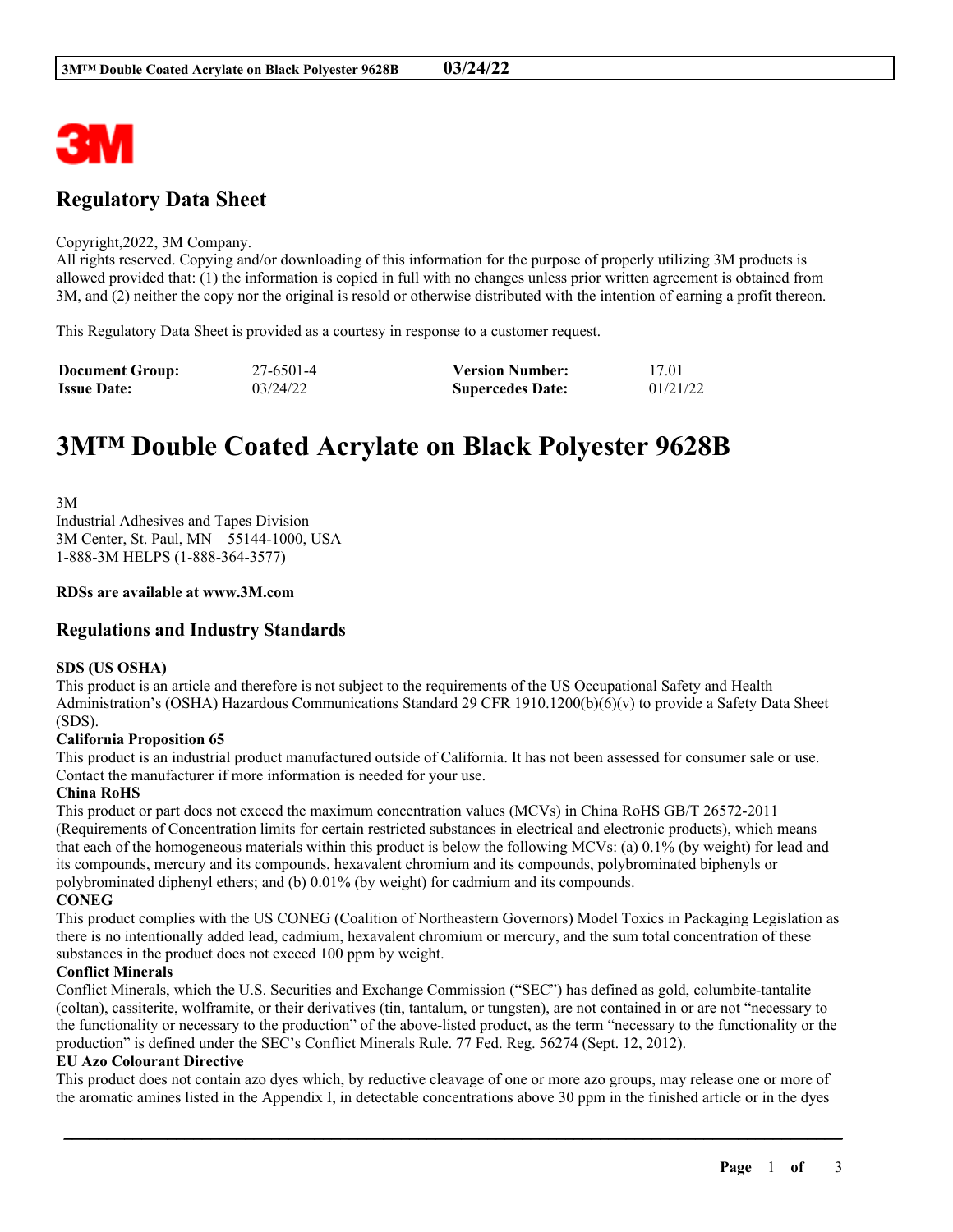

# **Regulatory Data Sheet**

# Copyright,2022, 3M Company.

All rights reserved. Copying and/or downloading of this information for the purpose of properly utilizing 3M products is allowed provided that: (1) the information is copied in full with no changes unless prior written agreement is obtained from 3M, and (2) neither the copy nor the original is resold or otherwise distributed with the intention of earning a profit thereon.

This Regulatory Data Sheet is provided as a courtesy in response to a customer request.

| <b>Document Group:</b> | 27-6501-4 | <b>Version Number:</b>  | 17.01    |
|------------------------|-----------|-------------------------|----------|
| <b>Issue Date:</b>     | 03/24/22  | <b>Supercedes Date:</b> | 01/21/22 |

# **3M™ Double Coated Acrylate on Black Polyester 9628B**

3M Industrial Adhesives and Tapes Division 3M Center, St. Paul, MN 55144-1000, USA 1-888-3M HELPS (1-888-364-3577)

# **RDSs are available at www.3M.com**

# **Regulations and Industry Standards**

# **SDS (US OSHA)**

This product is an article and therefore is not subject to the requirements of the US Occupational Safety and Health Administration's (OSHA) Hazardous Communications Standard 29 CFR 1910.1200(b)(6)(v) to provide a Safety Data Sheet (SDS).

# **California Proposition 65**

This product is an industrial product manufactured outside of California. It has not been assessed for consumer sale or use. Contact the manufacturer if more information is needed for your use.

# **China RoHS**

This product or part does not exceed the maximum concentration values (MCVs) in China RoHS GB/T 26572-2011 (Requirements of Concentration limits for certain restricted substances in electrical and electronic products), which means that each of the homogeneous materials within this product is below the following MCVs: (a) 0.1% (by weight) for lead and its compounds, mercury and its compounds, hexavalent chromium and its compounds, polybrominated biphenyls or polybrominated diphenyl ethers; and (b) 0.01% (by weight) for cadmium and its compounds. **CONEG**

This product complies with the US CONEG (Coalition of Northeastern Governors) Model Toxics in Packaging Legislation as there is no intentionally added lead, cadmium, hexavalent chromium or mercury, and the sum total concentration of these substances in the product does not exceed 100 ppm by weight.

# **Conflict Minerals**

Conflict Minerals, which the U.S. Securities and Exchange Commission ("SEC") has defined as gold, columbite-tantalite (coltan), cassiterite, wolframite, or their derivatives (tin, tantalum, or tungsten), are not contained in or are not "necessary to the functionality or necessary to the production" of the above-listed product, as the term "necessary to the functionality or the production" is defined under the SEC's Conflict Minerals Rule. 77 Fed. Reg. 56274 (Sept. 12, 2012).

# **EU Azo Colourant Directive**

This product does not contain azo dyes which, by reductive cleavage of one or more azo groups, may release one or more of the aromatic amines listed in the Appendix I, in detectable concentrations above 30 ppm in the finished article or in the dyes

\_\_\_\_\_\_\_\_\_\_\_\_\_\_\_\_\_\_\_\_\_\_\_\_\_\_\_\_\_\_\_\_\_\_\_\_\_\_\_\_\_\_\_\_\_\_\_\_\_\_\_\_\_\_\_\_\_\_\_\_\_\_\_\_\_\_\_\_\_\_\_\_\_\_\_\_\_\_\_\_\_\_\_\_\_\_\_\_\_\_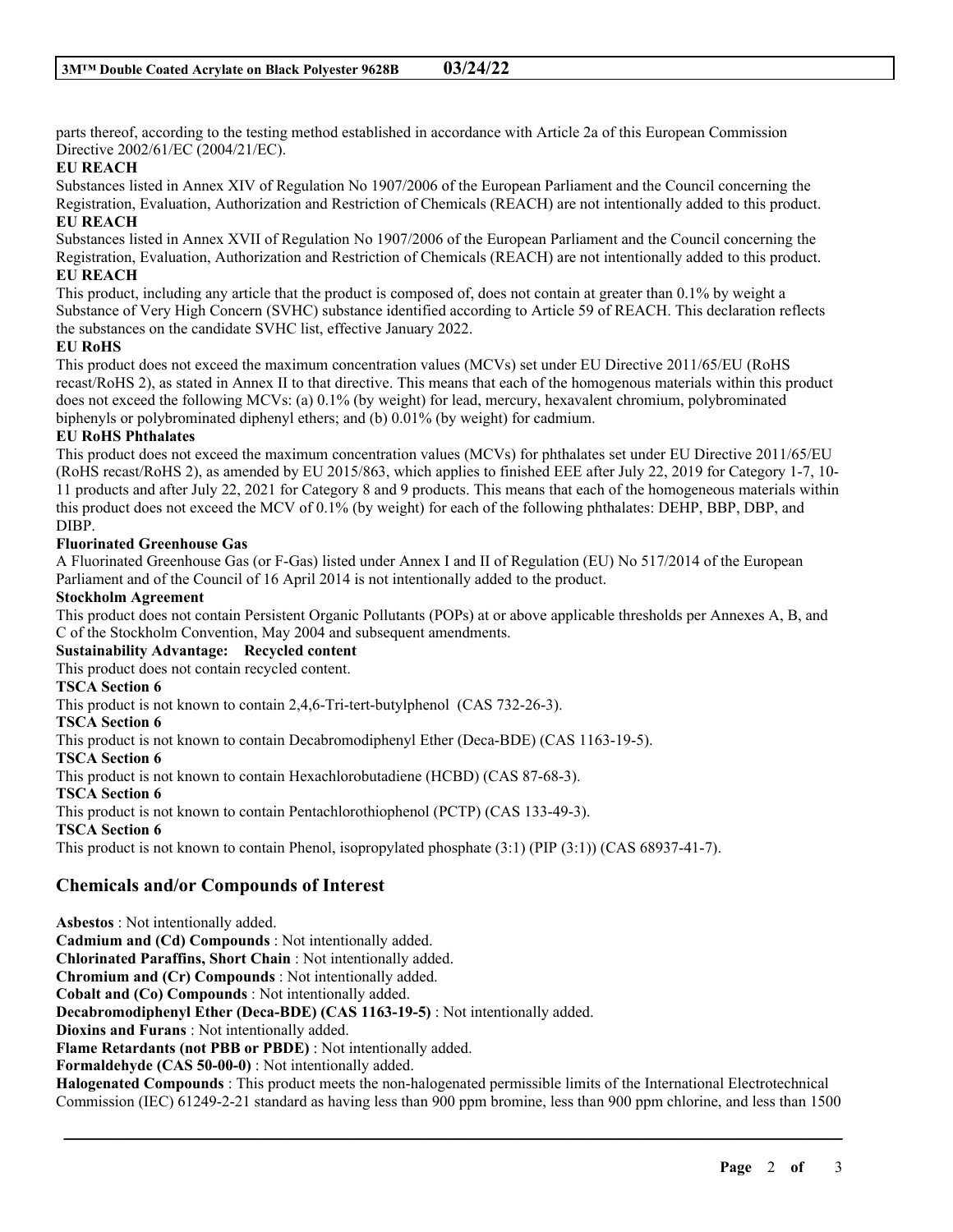parts thereof, according to the testing method established in accordance with Article 2a of this European Commission Directive 2002/61/EC (2004/21/EC).

# **EU REACH**

Substances listed in Annex XIV of Regulation No 1907/2006 of the European Parliament and the Council concerning the Registration, Evaluation, Authorization and Restriction of Chemicals (REACH) are not intentionally added to this product. **EU REACH**

Substances listed in Annex XVII of Regulation No 1907/2006 of the European Parliament and the Council concerning the Registration, Evaluation, Authorization and Restriction of Chemicals (REACH) are not intentionally added to this product. **EU REACH**

This product, including any article that the product is composed of, does not contain at greater than 0.1% by weight a Substance of Very High Concern (SVHC) substance identified according to Article 59 of REACH. This declaration reflects the substances on the candidate SVHC list, effective January 2022.

# **EU RoHS**

This product does not exceed the maximum concentration values (MCVs) set under EU Directive 2011/65/EU (RoHS recast/RoHS 2), as stated in Annex II to that directive. This means that each of the homogenous materials within this product does not exceed the following MCVs: (a) 0.1% (by weight) for lead, mercury, hexavalent chromium, polybrominated biphenyls or polybrominated diphenyl ethers; and (b) 0.01% (by weight) for cadmium.

# **EU RoHS Phthalates**

This product does not exceed the maximum concentration values (MCVs) for phthalates set under EU Directive 2011/65/EU (RoHS recast/RoHS 2), as amended by EU 2015/863, which applies to finished EEE after July 22, 2019 for Category 1-7, 10- 11 products and after July 22, 2021 for Category 8 and 9 products. This means that each of the homogeneous materials within this product does not exceed the MCV of 0.1% (by weight) for each of the following phthalates: DEHP, BBP, DBP, and DIBP.

# **Fluorinated Greenhouse Gas**

A Fluorinated Greenhouse Gas (or F-Gas) listed under Annex I and II of Regulation (EU) No 517/2014 of the European Parliament and of the Council of 16 April 2014 is not intentionally added to the product.

# **Stockholm Agreement**

This product does not contain Persistent Organic Pollutants (POPs) at or above applicable thresholds per Annexes A, B, and C of the Stockholm Convention, May 2004 and subsequent amendments.

# **Sustainability Advantage: Recycled content**

This product does not contain recycled content.

# **TSCA Section 6**

This product is not known to contain 2,4,6-Tri-tert-butylphenol (CAS 732-26-3).

# **TSCA Section 6**

This product is not known to contain Decabromodiphenyl Ether (Deca-BDE) (CAS 1163-19-5).

# **TSCA Section 6**

This product is not known to contain Hexachlorobutadiene (HCBD) (CAS 87-68-3).

**TSCA Section 6**

This product is not known to contain Pentachlorothiophenol (PCTP) (CAS 133-49-3).

# **TSCA Section 6**

This product is not known to contain Phenol, isopropylated phosphate (3:1) (PIP (3:1)) (CAS 68937-41-7).

# **Chemicals and/or Compounds of Interest**

**Asbestos** : Not intentionally added. **Cadmium and (Cd) Compounds** : Not intentionally added. **Chlorinated Paraffins, Short Chain** : Not intentionally added. **Chromium and (Cr) Compounds** : Not intentionally added. **Cobalt and (Co) Compounds** : Not intentionally added. **Decabromodiphenyl Ether (Deca-BDE) (CAS 1163-19-5)** : Not intentionally added. **Dioxins and Furans** : Not intentionally added. **Flame Retardants (not PBB or PBDE)** : Not intentionally added. **Formaldehyde (CAS 50-00-0)** : Not intentionally added. **Halogenated Compounds** : This product meets the non-halogenated permissible limits of the International Electrotechnical Commission (IEC) 61249-2-21 standard as having less than 900 ppm bromine, less than 900 ppm chlorine, and less than 1500

\_\_\_\_\_\_\_\_\_\_\_\_\_\_\_\_\_\_\_\_\_\_\_\_\_\_\_\_\_\_\_\_\_\_\_\_\_\_\_\_\_\_\_\_\_\_\_\_\_\_\_\_\_\_\_\_\_\_\_\_\_\_\_\_\_\_\_\_\_\_\_\_\_\_\_\_\_\_\_\_\_\_\_\_\_\_\_\_\_\_